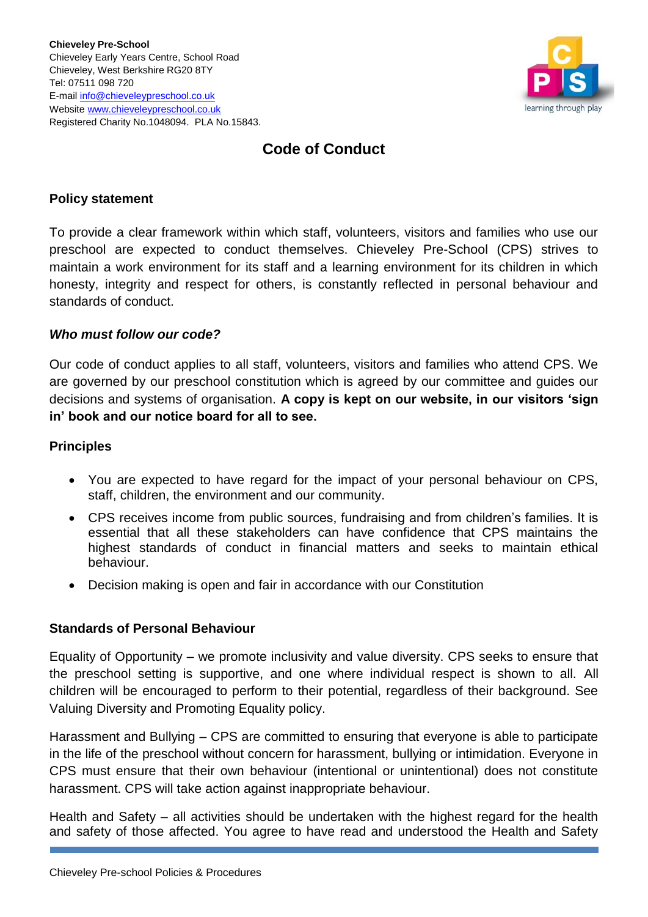

# **Code of Conduct**

## **Policy statement**

To provide a clear framework within which staff, volunteers, visitors and families who use our preschool are expected to conduct themselves. Chieveley Pre-School (CPS) strives to maintain a work environment for its staff and a learning environment for its children in which honesty, integrity and respect for others, is constantly reflected in personal behaviour and standards of conduct.

#### *Who must follow our code?*

Our code of conduct applies to all staff, volunteers, visitors and families who attend CPS. We are governed by our preschool constitution which is agreed by our committee and guides our decisions and systems of organisation. **A copy is kept on our website, in our visitors 'sign in' book and our notice board for all to see.**

## **Principles**

- You are expected to have regard for the impact of your personal behaviour on CPS, staff, children, the environment and our community.
- CPS receives income from public sources, fundraising and from children's families. It is essential that all these stakeholders can have confidence that CPS maintains the highest standards of conduct in financial matters and seeks to maintain ethical behaviour.
- Decision making is open and fair in accordance with our Constitution

#### **Standards of Personal Behaviour**

Equality of Opportunity – we promote inclusivity and value diversity. CPS seeks to ensure that the preschool setting is supportive, and one where individual respect is shown to all. All children will be encouraged to perform to their potential, regardless of their background. See Valuing Diversity and Promoting Equality policy.

Harassment and Bullying – CPS are committed to ensuring that everyone is able to participate in the life of the preschool without concern for harassment, bullying or intimidation. Everyone in CPS must ensure that their own behaviour (intentional or unintentional) does not constitute harassment. CPS will take action against inappropriate behaviour.

Health and Safety – all activities should be undertaken with the highest regard for the health and safety of those affected. You agree to have read and understood the Health and Safety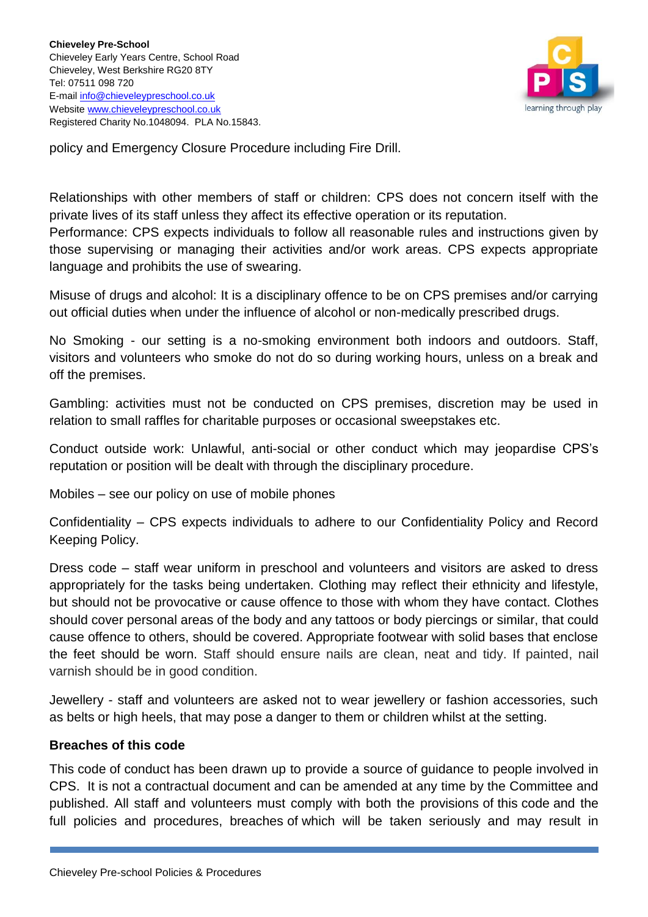

policy and Emergency Closure Procedure including Fire Drill.

Relationships with other members of staff or children: CPS does not concern itself with the private lives of its staff unless they affect its effective operation or its reputation.

Performance: CPS expects individuals to follow all reasonable rules and instructions given by those supervising or managing their activities and/or work areas. CPS expects appropriate language and prohibits the use of swearing.

Misuse of drugs and alcohol: It is a disciplinary offence to be on CPS premises and/or carrying out official duties when under the influence of alcohol or non-medically prescribed drugs.

No Smoking - our setting is a no-smoking environment both indoors and outdoors. Staff, visitors and volunteers who smoke do not do so during working hours, unless on a break and off the premises.

Gambling: activities must not be conducted on CPS premises, discretion may be used in relation to small raffles for charitable purposes or occasional sweepstakes etc.

Conduct outside work: Unlawful, anti-social or other conduct which may jeopardise CPS's reputation or position will be dealt with through the disciplinary procedure.

Mobiles – see our policy on use of mobile phones

Confidentiality – CPS expects individuals to adhere to our Confidentiality Policy and Record Keeping Policy.

Dress code – staff wear uniform in preschool and volunteers and visitors are asked to dress appropriately for the tasks being undertaken. Clothing may reflect their ethnicity and lifestyle, but should not be provocative or cause offence to those with whom they have contact. Clothes should cover personal areas of the body and any tattoos or body piercings or similar, that could cause offence to others, should be covered. Appropriate footwear with solid bases that enclose the feet should be worn. Staff should ensure nails are clean, neat and tidy. If painted, nail varnish should be in good condition.

Jewellery - staff and volunteers are asked not to wear jewellery or fashion accessories, such as belts or high heels, that may pose a danger to them or children whilst at the setting.

# **Breaches of this code**

This code of conduct has been drawn up to provide a source of guidance to people involved in CPS. It is not a contractual document and can be amended at any time by the Committee and published. All staff and volunteers must comply with both the provisions of this code and the full policies and procedures, breaches of which will be taken seriously and may result in